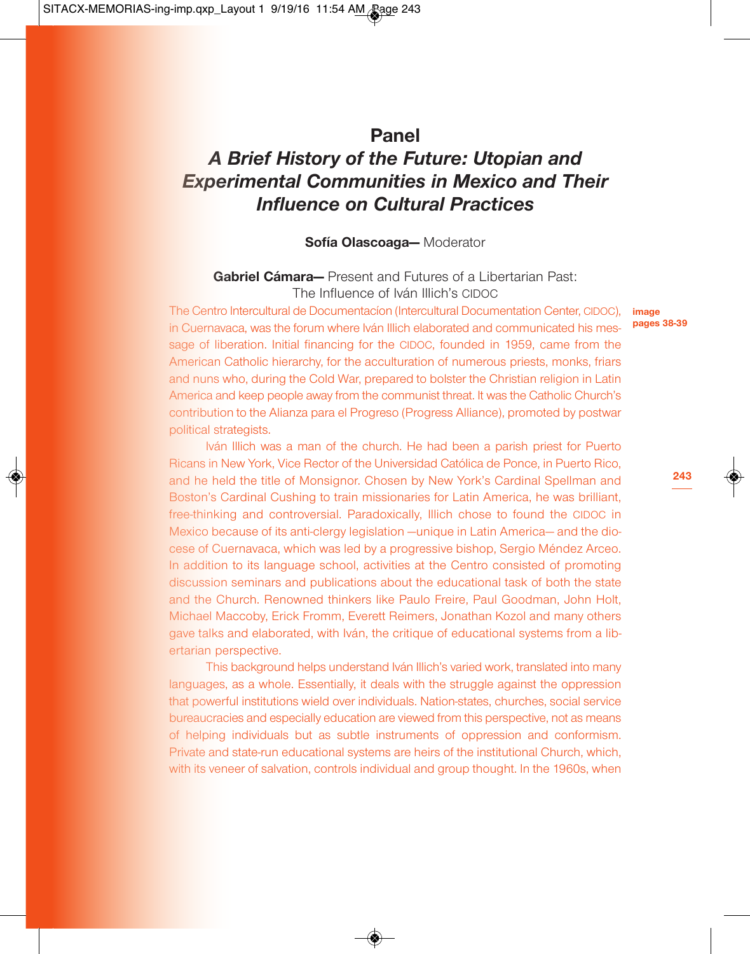# **Panel** *A Brief History of the Future: Utopian and Experimental Communities in Mexico and Their Influence on Cultural Practices*

## **Sofía Olascoaga—** Moderator

# **Gabriel Cámara—** Present and Futures of a Libertarian Past: The Influence of Iván Illich's CIDOC

The Centro Intercultural de Documentacíon (Intercultural Documentation Center, CIDOC), **image** in Cuernavaca, was the forum where Iván Illich elaborated and communicated his message of liberation. Initial financing for the CIDOC, founded in 1959, came from the American Catholic hierarchy, for the acculturation of numerous priests, monks, friars and nuns who, during the Cold War, prepared to bolster the Christian religion in Latin America and keep people away from the communist threat. It was the Catholic Church's contribution to the Alianza para el Progreso (Progress Alliance), promoted by postwar political strategists.

Iván Illich was a man of the church. He had been a parish priest for Puerto Ricans in New York, Vice Rector of the Universidad Católica de Ponce, in Puerto Rico, and he held the title of Monsignor. Chosen by New York's Cardinal Spellman and Boston's Cardinal Cushing to train missionaries for Latin America, he was brilliant, free-thinking and controversial. Paradoxically, Illich chose to found the CIDOC in Mexico because of its anti-clergy legislation —unique in Latin America— and the diocese of Cuernavaca, which was led by a progressive bishop, Sergio Méndez Arceo. In addition to its language school, activities at the Centro consisted of promoting discussion seminars and publications about the educational task of both the state and the Church. Renowned thinkers like Paulo Freire, Paul Goodman, John Holt, Michael Maccoby, Erick Fromm, Everett Reimers, Jonathan Kozol and many others gave talks and elaborated, with Iván, the critique of educational systems from a libertarian perspective.

This background helps understand Iván Illich's varied work, translated into many languages, as a whole. Essentially, it deals with the struggle against the oppression that powerful institutions wield over individuals. Nation-states, churches, social service bureaucracies and especially education are viewed from this perspective, not as means of helping individuals but as subtle instruments of oppression and conformism. Private and state-run educational systems are heirs of the institutional Church, which, with its veneer of salvation, controls individual and group thought. In the 1960s, when

**pages 38-39**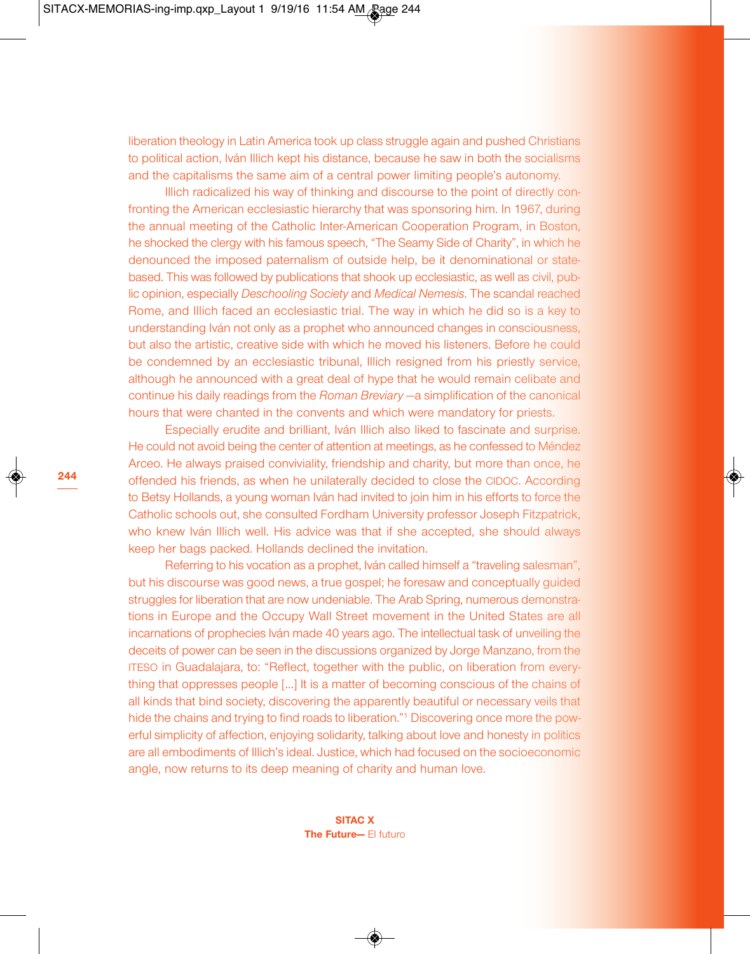**244**

liberation theology in Latin America took up class struggle again and pushed Christians to political action, Iván Illich kept his distance, because he saw in both the socialisms and the capitalisms the same aim of a central power limiting people's autonomy.

Illich radicalized his way of thinking and discourse to the point of directly confronting the American ecclesiastic hierarchy that was sponsoring him. In 1967, during the annual meeting of the Catholic Inter-American Cooperation Program, in Boston, he shocked the clergy with his famous speech, "The Seamy Side of Charity", in which he denounced the imposed paternalism of outside help, be it denominational or statebased. This was followed by publications that shook up ecclesiastic, as well as civil, public opinion, especially *Deschooling Society* and *Medical Nemesis*. The scandal reached Rome, and Illich faced an ecclesiastic trial. The way in which he did so is a key to understanding Iván not only as a prophet who announced changes in consciousness, but also the artistic, creative side with which he moved his listeners. Before he could be condemned by an ecclesiastic tribunal, Illich resigned from his priestly service, although he announced with a great deal of hype that he would remain celibate and continue his daily readings from the *Roman Breviary* —a simplification of the canonical hours that were chanted in the convents and which were mandatory for priests.

Especially erudite and brilliant, Iván Illich also liked to fascinate and surprise. He could not avoid being the center of attention at meetings, as he confessed to Méndez Arceo. He always praised conviviality, friendship and charity, but more than once, he offended his friends, as when he unilaterally decided to close the CIDOC. According to Betsy Hollands, a young woman Iván had invited to join him in his efforts to force the Catholic schools out, she consulted Fordham University professor Joseph Fitzpatrick, who knew Iván Illich well. His advice was that if she accepted, she should always keep her bags packed. Hollands declined the invitation.

Referring to his vocation as a prophet, Iván called himself a "traveling salesman", but his discourse was good news, a true gospel; he foresaw and conceptually guided struggles for liberation that are now undeniable. The Arab Spring, numerous demonstrations in Europe and the Occupy Wall Street movement in the United States are all incarnations of prophecies Iván made 40 years ago. The intellectual task of unveiling the deceits of power can be seen in the discussions organized by Jorge Manzano, from the ITESO in Guadalajara, to: "Reflect, together with the public, on liberation from everything that oppresses people […] It is a matter of becoming conscious of the chains of all kinds that bind society, discovering the apparently beautiful or necessary veils that hide the chains and trying to find roads to liberation."1 Discovering once more the powerful simplicity of affection, enjoying solidarity, talking about love and honesty in politics are all embodiments of Illich's ideal. Justice, which had focused on the socioeconomic angle, now returns to its deep meaning of charity and human love.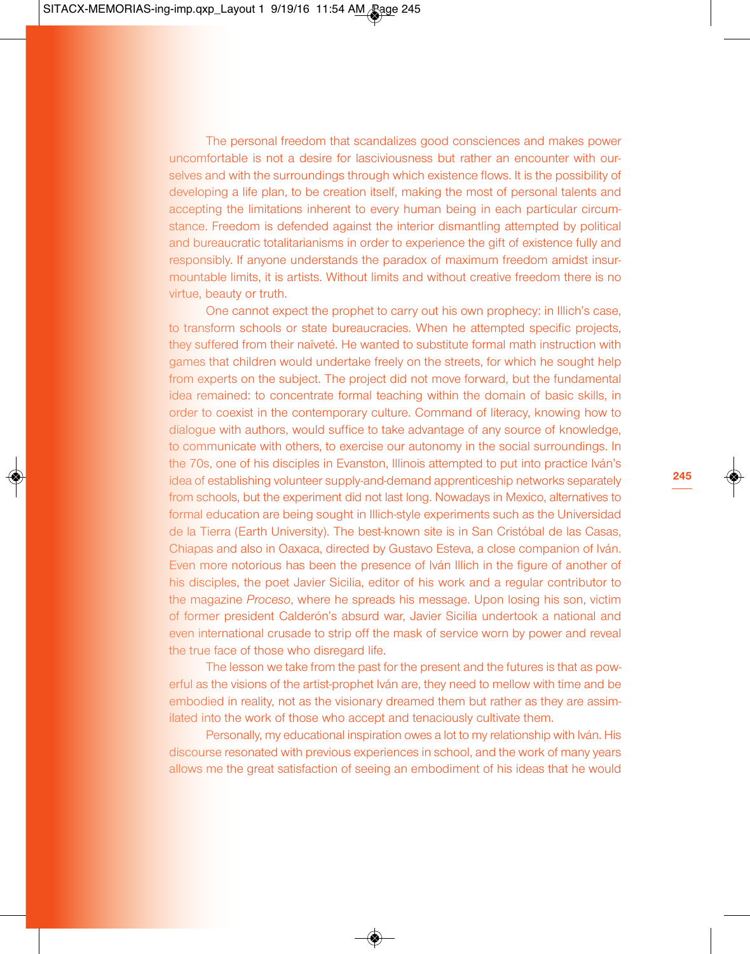The personal freedom that scandalizes good consciences and makes power uncomfortable is not a desire for lasciviousness but rather an encounter with ourselves and with the surroundings through which existence flows. It is the possibility of developing a life plan, to be creation itself, making the most of personal talents and accepting the limitations inherent to every human being in each particular circumstance. Freedom is defended against the interior dismantling attempted by political and bureaucratic totalitarianisms in order to experience the gift of existence fully and responsibly. If anyone understands the paradox of maximum freedom amidst insurmountable limits, it is artists. Without limits and without creative freedom there is no virtue, beauty or truth.

One cannot expect the prophet to carry out his own prophecy: in Illich's case, to transform schools or state bureaucracies. When he attempted specific projects, they suffered from their naïveté. He wanted to substitute formal math instruction with games that children would undertake freely on the streets, for which he sought help from experts on the subject. The project did not move forward, but the fundamental idea remained: to concentrate formal teaching within the domain of basic skills, in order to coexist in the contemporary culture. Command of literacy, knowing how to dialogue with authors, would suffice to take advantage of any source of knowledge, to communicate with others, to exercise our autonomy in the social surroundings. In the 70s, one of his disciples in Evanston, Illinois attempted to put into practice Iván's idea of establishing volunteer supply-and-demand apprenticeship networks separately from schools, but the experiment did not last long. Nowadays in Mexico, alternatives to formal education are being sought in Illich-style experiments such as the Universidad de la Tierra (Earth University). The best-known site is in San Cristóbal de las Casas, Chiapas and also in Oaxaca, directed by Gustavo Esteva, a close companion of Iván. Even more notorious has been the presence of Iván Illich in the figure of another of his disciples, the poet Javier Sicilia, editor of his work and a regular contributor to the magazine *Proceso*, where he spreads his message. Upon losing his son, victim of former president Calderón's absurd war, Javier Sicilia undertook a national and even international crusade to strip off the mask of service worn by power and reveal the true face of those who disregard life.

The lesson we take from the past for the present and the futures is that as powerful as the visions of the artist-prophet Iván are, they need to mellow with time and be embodied in reality, not as the visionary dreamed them but rather as they are assimilated into the work of those who accept and tenaciously cultivate them.

Personally, my educational inspiration owes a lot to my relationship with Iván. His discourse resonated with previous experiences in school, and the work of many years allows me the great satisfaction of seeing an embodiment of his ideas that he would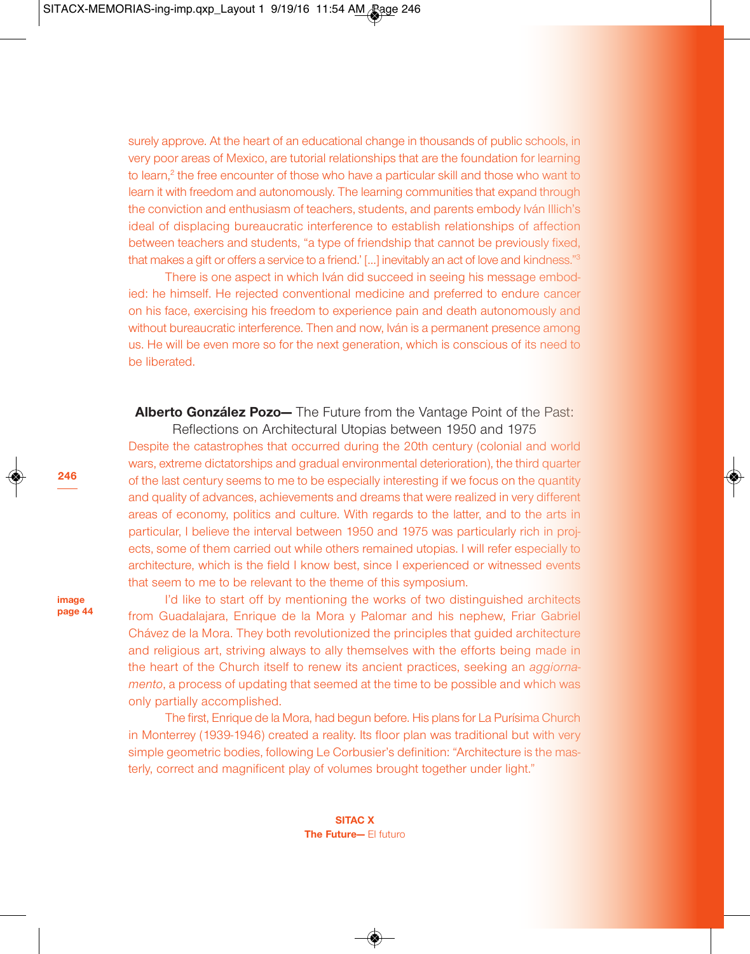surely approve. At the heart of an educational change in thousands of public schools, in very poor areas of Mexico, are tutorial relationships that are the foundation for learning to learn, <sup>2</sup> the free encounter of those who have a particular skill and those who want to learn it with freedom and autonomously. The learning communities that expand through the conviction and enthusiasm of teachers, students, and parents embody Iván Illich's ideal of displacing bureaucratic interference to establish relationships of affection between teachers and students, "a type of friendship that cannot be previously fixed, that makes a gift or offers a service to a friend.' […] inevitably an act of love and kindness."3

There is one aspect in which Iván did succeed in seeing his message embodied: he himself. He rejected conventional medicine and preferred to endure cancer on his face, exercising his freedom to experience pain and death autonomously and without bureaucratic interference. Then and now, Iván is a permanent presence among us. He will be even more so for the next generation, which is conscious of its need to be liberated.

**Alberto González Pozo—** The Future from the Vantage Point of the Past:

Reflections on Architectural Utopias between 1950 and 1975 Despite the catastrophes that occurred during the 20th century (colonial and world wars, extreme dictatorships and gradual environmental deterioration), the third quarter of the last century seems to me to be especially interesting if we focus on the quantity and quality of advances, achievements and dreams that were realized in very different areas of economy, politics and culture. With regards to the latter, and to the arts in particular, I believe the interval between 1950 and 1975 was particularly rich in projects, some of them carried out while others remained utopias. I will refer especially to architecture, which is the field I know best, since I experienced or witnessed events that seem to me to be relevant to the theme of this symposium.

**image page 44**

**246**

I'd like to start off by mentioning the works of two distinguished architects from Guadalajara, Enrique de la Mora y Palomar and his nephew, Friar Gabriel Chávez de la Mora. They both revolutionized the principles that guided architecture and religious art, striving always to ally themselves with the efforts being made in the heart of the Church itself to renew its ancient practices, seeking an *aggiornamento*, a process of updating that seemed at the time to be possible and which was only partially accomplished.

The first, Enrique de la Mora, had begun before. His plans for La Purísima Church in Monterrey (1939-1946) created a reality. Its floor plan was traditional but with very simple geometric bodies, following Le Corbusier's definition: "Architecture is the masterly, correct and magnificent play of volumes brought together under light."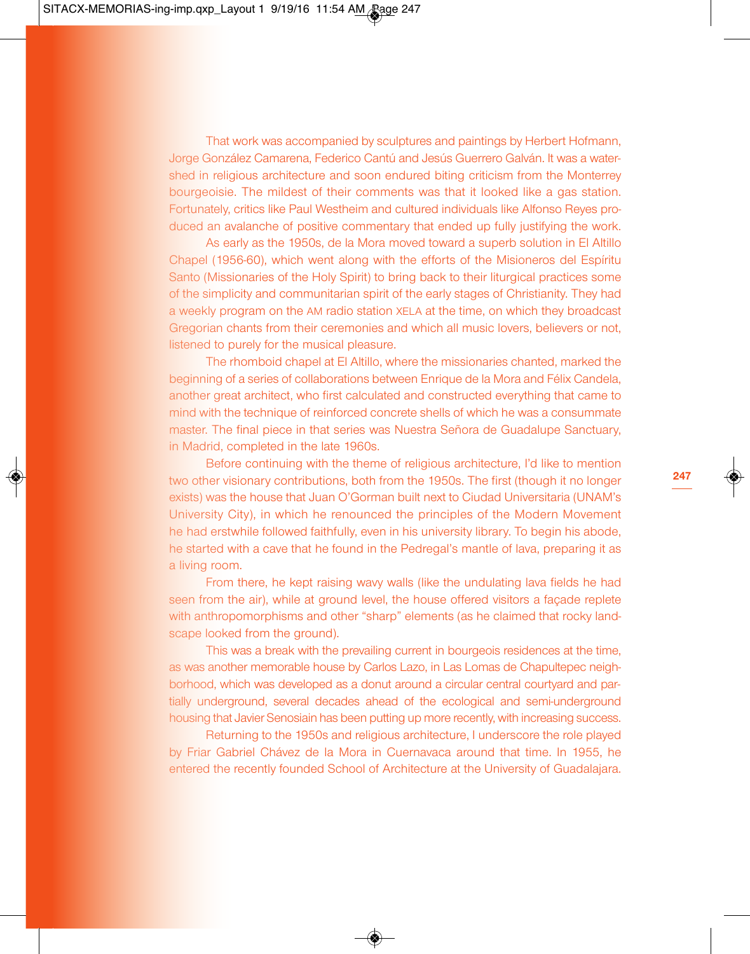That work was accompanied by sculptures and paintings by Herbert Hofmann, Jorge González Camarena, Federico Cantú and Jesús Guerrero Galván. It was a watershed in religious architecture and soon endured biting criticism from the Monterrey bourgeoisie. The mildest of their comments was that it looked like a gas station. Fortunately, critics like Paul Westheim and cultured individuals like Alfonso Reyes produced an avalanche of positive commentary that ended up fully justifying the work.

As early as the 1950s, de la Mora moved toward a superb solution in El Altillo Chapel (1956-60), which went along with the efforts of the Misioneros del Espíritu Santo (Missionaries of the Holy Spirit) to bring back to their liturgical practices some of the simplicity and communitarian spirit of the early stages of Christianity. They had a weekly program on the AM radio station XELA at the time, on which they broadcast Gregorian chants from their ceremonies and which all music lovers, believers or not, listened to purely for the musical pleasure.

The rhomboid chapel at El Altillo, where the missionaries chanted, marked the beginning of a series of collaborations between Enrique de la Mora and Félix Candela, another great architect, who first calculated and constructed everything that came to mind with the technique of reinforced concrete shells of which he was a consummate master. The final piece in that series was Nuestra Señora de Guadalupe Sanctuary, in Madrid, completed in the late 1960s.

Before continuing with the theme of religious architecture, I'd like to mention two other visionary contributions, both from the 1950s. The first (though it no longer exists) was the house that Juan O'Gorman built next to Ciudad Universitaria (UNAM's University City), in which he renounced the principles of the Modern Movement he had erstwhile followed faithfully, even in his university library. To begin his abode, he started with a cave that he found in the Pedregal's mantle of lava, preparing it as a living room.

From there, he kept raising wavy walls (like the undulating lava fields he had seen from the air), while at ground level, the house offered visitors a façade replete with anthropomorphisms and other "sharp" elements (as he claimed that rocky landscape looked from the ground).

This was a break with the prevailing current in bourgeois residences at the time, as was another memorable house by Carlos Lazo, in Las Lomas de Chapultepec neighborhood, which was developed as a donut around a circular central courtyard and partially underground, several decades ahead of the ecological and semi-underground housing that Javier Senosiain has been putting up more recently, with increasing success.

Returning to the 1950s and religious architecture, I underscore the role played by Friar Gabriel Chávez de la Mora in Cuernavaca around that time. In 1955, he entered the recently founded School of Architecture at the University of Guadalajara.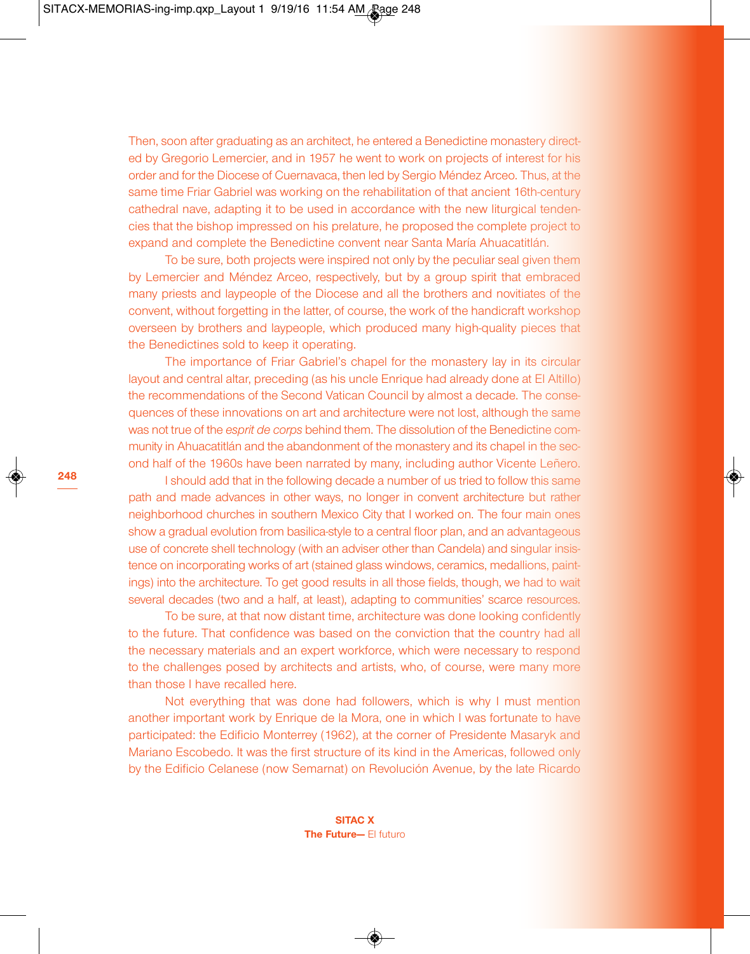Then, soon after graduating as an architect, he entered a Benedictine monastery directed by Gregorio Lemercier, and in 1957 he went to work on projects of interest for his order and for the Diocese of Cuernavaca, then led by Sergio Méndez Arceo. Thus, at the same time Friar Gabriel was working on the rehabilitation of that ancient 16th-century cathedral nave, adapting it to be used in accordance with the new liturgical tendencies that the bishop impressed on his prelature, he proposed the complete project to expand and complete the Benedictine convent near Santa María Ahuacatitlán.

To be sure, both projects were inspired not only by the peculiar seal given them by Lemercier and Méndez Arceo, respectively, but by a group spirit that embraced many priests and laypeople of the Diocese and all the brothers and novitiates of the convent, without forgetting in the latter, of course, the work of the handicraft workshop overseen by brothers and laypeople, which produced many high-quality pieces that the Benedictines sold to keep it operating.

The importance of Friar Gabriel's chapel for the monastery lay in its circular layout and central altar, preceding (as his uncle Enrique had already done at El Altillo) the recommendations of the Second Vatican Council by almost a decade. The consequences of these innovations on art and architecture were not lost, although the same was not true of the *esprit de corps* behind them. The dissolution of the Benedictine community in Ahuacatitlán and the abandonment of the monastery and its chapel in the second half of the 1960s have been narrated by many, including author Vicente Leñero.

I should add that in the following decade a number of us tried to follow this same path and made advances in other ways, no longer in convent architecture but rather neighborhood churches in southern Mexico City that I worked on. The four main ones show a gradual evolution from basilica-style to a central floor plan, and an advantageous use of concrete shell technology (with an adviser other than Candela) and singular insistence on incorporating works of art (stained glass windows, ceramics, medallions, paintings) into the architecture. To get good results in all those fields, though, we had to wait several decades (two and a half, at least), adapting to communities' scarce resources.

To be sure, at that now distant time, architecture was done looking confidently to the future. That confidence was based on the conviction that the country had all the necessary materials and an expert workforce, which were necessary to respond to the challenges posed by architects and artists, who, of course, were many more than those I have recalled here.

Not everything that was done had followers, which is why I must mention another important work by Enrique de la Mora, one in which I was fortunate to have participated: the Edificio Monterrey (1962), at the corner of Presidente Masaryk and Mariano Escobedo. It was the first structure of its kind in the Americas, followed only by the Edificio Celanese (now Semarnat) on Revolución Avenue, by the late Ricardo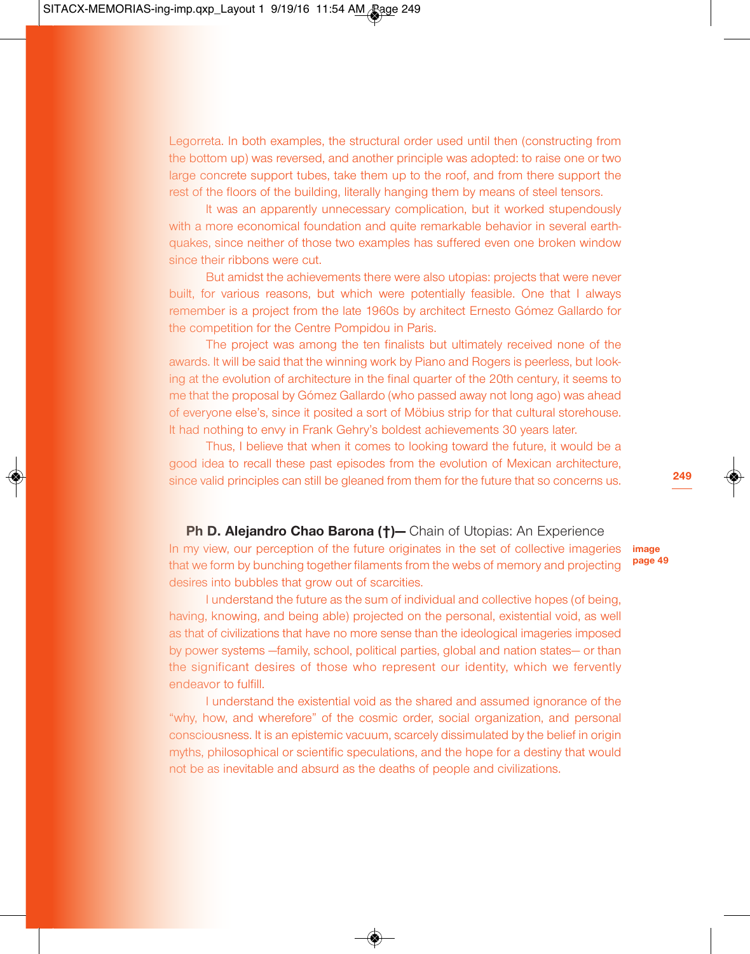Legorreta. In both examples, the structural order used until then (constructing from the bottom up) was reversed, and another principle was adopted: to raise one or two large concrete support tubes, take them up to the roof, and from there support the rest of the floors of the building, literally hanging them by means of steel tensors.

It was an apparently unnecessary complication, but it worked stupendously with a more economical foundation and quite remarkable behavior in several earthquakes, since neither of those two examples has suffered even one broken window since their ribbons were cut.

But amidst the achievements there were also utopias: projects that were never built, for various reasons, but which were potentially feasible. One that I always remember is a project from the late 1960s by architect Ernesto Gómez Gallardo for the competition for the Centre Pompidou in Paris.

The project was among the ten finalists but ultimately received none of the awards. It will be said that the winning work by Piano and Rogers is peerless, but looking at the evolution of architecture in the final quarter of the 20th century, it seems to me that the proposal by Gómez Gallardo (who passed away not long ago) was ahead of everyone else's, since it posited a sort of Möbius strip for that cultural storehouse. It had nothing to envy in Frank Gehry's boldest achievements 30 years later.

Thus, I believe that when it comes to looking toward the future, it would be a good idea to recall these past episodes from the evolution of Mexican architecture, since valid principles can still be gleaned from them for the future that so concerns us.

### **Ph D. Alejandro Chao Barona (†)—** Chain of Utopias: An Experience

In my view, our perception of the future originates in the set of collective imageries that we form by bunching together filaments from the webs of memory and projecting desires into bubbles that grow out of scarcities.

I understand the future as the sum of individual and collective hopes (of being, having, knowing, and being able) projected on the personal, existential void, as well as that of civilizations that have no more sense than the ideological imageries imposed by power systems —family, school, political parties, global and nation states— or than the significant desires of those who represent our identity, which we fervently endeavor to fulfill.

I understand the existential void as the shared and assumed ignorance of the "why, how, and wherefore" of the cosmic order, social organization, and personal consciousness. It is an epistemic vacuum, scarcely dissimulated by the belief in origin myths, philosophical or scientific speculations, and the hope for a destiny that would not be as inevitable and absurd as the deaths of people and civilizations.

**image**

**249**

**page 49**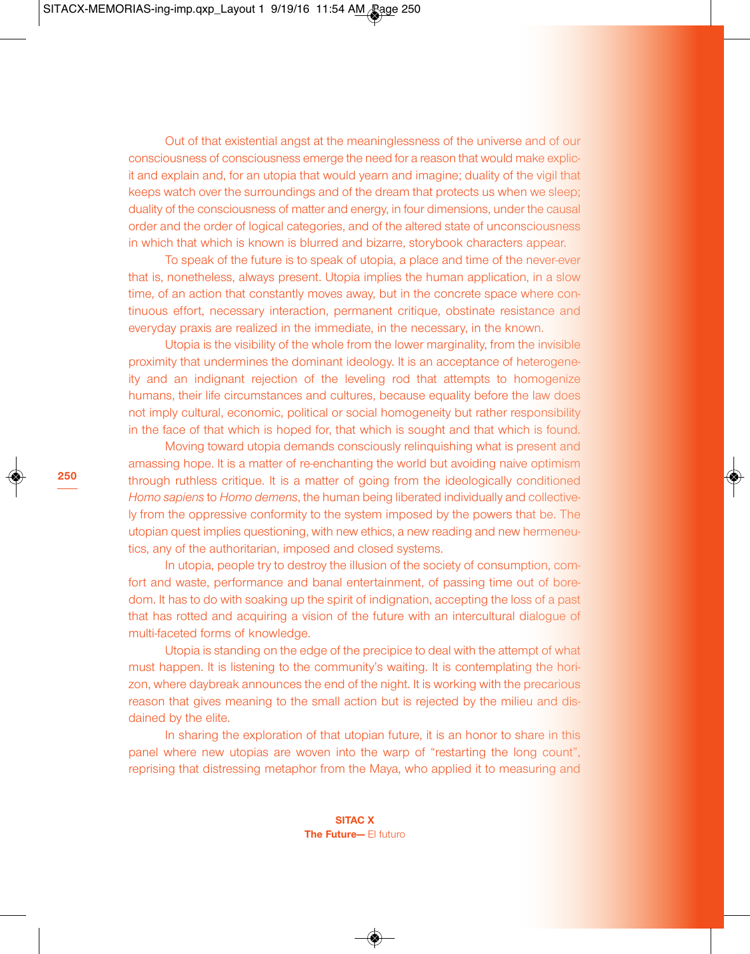Out of that existential angst at the meaninglessness of the universe and of our consciousness of consciousness emerge the need for a reason that would make explicit and explain and, for an utopia that would yearn and imagine; duality of the vigil that keeps watch over the surroundings and of the dream that protects us when we sleep; duality of the consciousness of matter and energy, in four dimensions, under the causal order and the order of logical categories, and of the altered state of unconsciousness in which that which is known is blurred and bizarre, storybook characters appear.

To speak of the future is to speak of utopia, a place and time of the never-ever that is, nonetheless, always present. Utopia implies the human application, in a slow time, of an action that constantly moves away, but in the concrete space where continuous effort, necessary interaction, permanent critique, obstinate resistance and everyday praxis are realized in the immediate, in the necessary, in the known.

Utopia is the visibility of the whole from the lower marginality, from the invisible proximity that undermines the dominant ideology. It is an acceptance of heterogeneity and an indignant rejection of the leveling rod that attempts to homogenize humans, their life circumstances and cultures, because equality before the law does not imply cultural, economic, political or social homogeneity but rather responsibility in the face of that which is hoped for, that which is sought and that which is found.

Moving toward utopia demands consciously relinquishing what is present and amassing hope. It is a matter of re-enchanting the world but avoiding naive optimism through ruthless critique. It is a matter of going from the ideologically conditioned *Homo sapiens* to *Homo demens*, the human being liberated individually and collectively from the oppressive conformity to the system imposed by the powers that be. The utopian quest implies questioning, with new ethics, a new reading and new hermeneutics, any of the authoritarian, imposed and closed systems.

In utopia, people try to destroy the illusion of the society of consumption, comfort and waste, performance and banal entertainment, of passing time out of boredom. It has to do with soaking up the spirit of indignation, accepting the loss of a past that has rotted and acquiring a vision of the future with an intercultural dialogue of multi-faceted forms of knowledge.

Utopia is standing on the edge of the precipice to deal with the attempt of what must happen. It is listening to the community's waiting. It is contemplating the horizon, where daybreak announces the end of the night. It is working with the precarious reason that gives meaning to the small action but is rejected by the milieu and disdained by the elite.

In sharing the exploration of that utopian future, it is an honor to share in this panel where new utopias are woven into the warp of "restarting the long count", reprising that distressing metaphor from the Maya, who applied it to measuring and

> **SITAC X The Future—** El futuro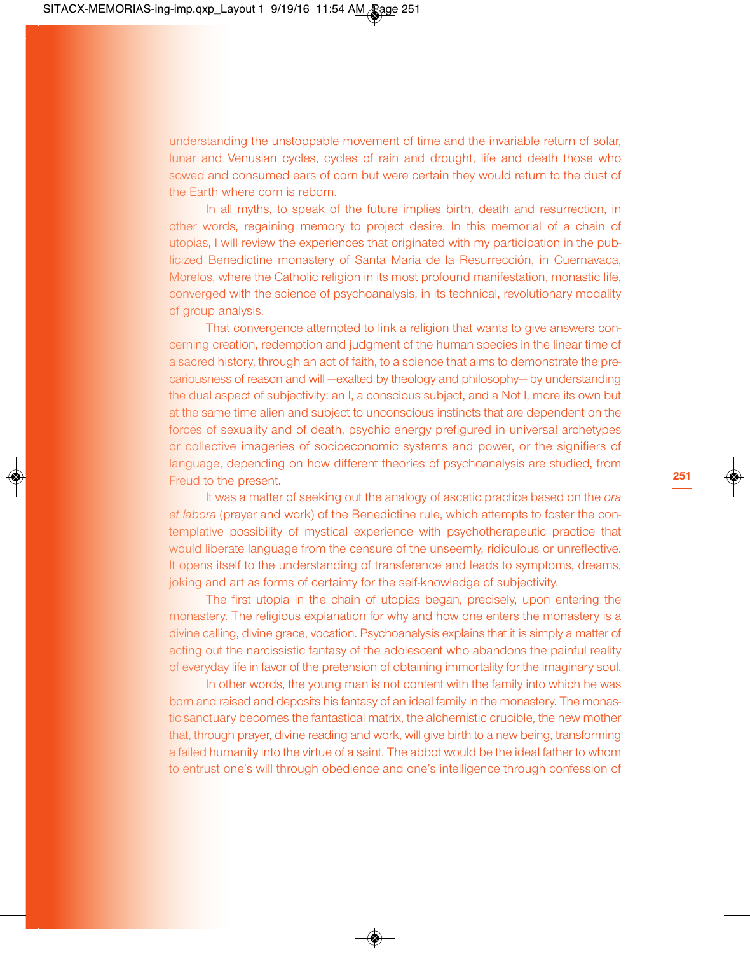understanding the unstoppable movement of time and the invariable return of solar, lunar and Venusian cycles, cycles of rain and drought, life and death those who sowed and consumed ears of corn but were certain they would return to the dust of the Earth where corn is reborn.

In all myths, to speak of the future implies birth, death and resurrection, in other words, regaining memory to project desire. In this memorial of a chain of utopias, I will review the experiences that originated with my participation in the publicized Benedictine monastery of Santa María de la Resurrección, in Cuernavaca, Morelos, where the Catholic religion in its most profound manifestation, monastic life, converged with the science of psychoanalysis, in its technical, revolutionary modality of group analysis.

That convergence attempted to link a religion that wants to give answers concerning creation, redemption and judgment of the human species in the linear time of a sacred history, through an act of faith, to a science that aims to demonstrate the precariousness of reason and will —exalted by theology and philosophy— by understanding the dual aspect of subjectivity: an I, a conscious subject, and a Not I, more its own but at the same time alien and subject to unconscious instincts that are dependent on the forces of sexuality and of death, psychic energy prefigured in universal archetypes or collective imageries of socioeconomic systems and power, or the signifiers of language, depending on how different theories of psychoanalysis are studied, from Freud to the present.

It was a matter of seeking out the analogy of ascetic practice based on the *ora et labora* (prayer and work) of the Benedictine rule, which attempts to foster the contemplative possibility of mystical experience with psychotherapeutic practice that would liberate language from the censure of the unseemly, ridiculous or unreflective. It opens itself to the understanding of transference and leads to symptoms, dreams, joking and art as forms of certainty for the self-knowledge of subjectivity.

The first utopia in the chain of utopias began, precisely, upon entering the monastery. The religious explanation for why and how one enters the monastery is a divine calling, divine grace, vocation. Psychoanalysis explains that it is simply a matter of acting out the narcissistic fantasy of the adolescent who abandons the painful reality of everyday life in favor of the pretension of obtaining immortality for the imaginary soul.

In other words, the young man is not content with the family into which he was born and raised and deposits his fantasy of an ideal family in the monastery. The monastic sanctuary becomes the fantastical matrix, the alchemistic crucible, the new mother that, through prayer, divine reading and work, will give birth to a new being, transforming a failed humanity into the virtue of a saint. The abbot would be the ideal father to whom to entrust one's will through obedience and one's intelligence through confession of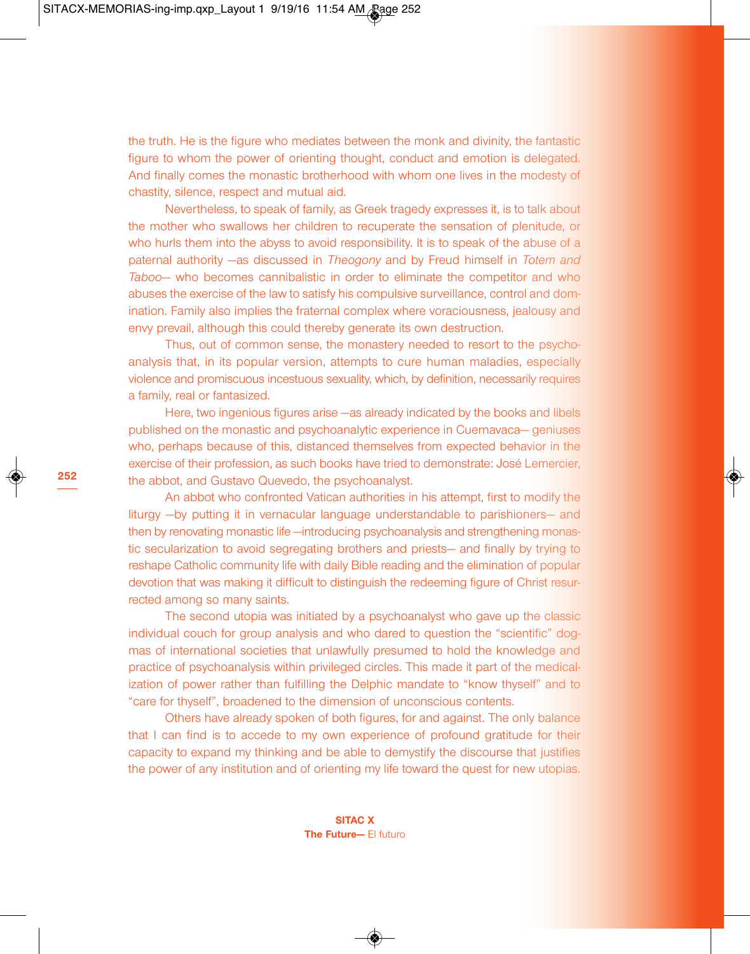the truth. He is the figure who mediates between the monk and divinity, the fantastic figure to whom the power of orienting thought, conduct and emotion is delegated. And finally comes the monastic brotherhood with whom one lives in the modesty of chastity, silence, respect and mutual aid.

Nevertheless, to speak of family, as Greek tragedy expresses it, is to talk about the mother who swallows her children to recuperate the sensation of plenitude, or who hurls them into the abyss to avoid responsibility. It is to speak of the abuse of a paternal authority —as discussed in *Theogony* and by Freud himself in *Totem and Taboo*— who becomes cannibalistic in order to eliminate the competitor and who abuses the exercise of the law to satisfy his compulsive surveillance, control and domination. Family also implies the fraternal complex where voraciousness, jealousy and envy prevail, although this could thereby generate its own destruction.

Thus, out of common sense, the monastery needed to resort to the psychoanalysis that, in its popular version, attempts to cure human maladies, especially violence and promiscuous incestuous sexuality, which, by definition, necessarily requires a family, real or fantasized.

Here, two ingenious figures arise —as already indicated by the books and libels published on the monastic and psychoanalytic experience in Cuernavaca— geniuses who, perhaps because of this, distanced themselves from expected behavior in the exercise of their profession, as such books have tried to demonstrate: José Lemercier, the abbot, and Gustavo Quevedo, the psychoanalyst.

An abbot who confronted Vatican authorities in his attempt, first to modify the liturgy —by putting it in vernacular language understandable to parishioners— and then by renovating monastic life —introducing psychoanalysis and strengthening monastic secularization to avoid segregating brothers and priests— and finally by trying to reshape Catholic community life with daily Bible reading and the elimination of popular devotion that was making it difficult to distinguish the redeeming figure of Christ resurrected among so many saints.

The second utopia was initiated by a psychoanalyst who gave up the classic individual couch for group analysis and who dared to question the "scientific" dogmas of international societies that unlawfully presumed to hold the knowledge and practice of psychoanalysis within privileged circles. This made it part of the medicalization of power rather than fulfilling the Delphic mandate to "know thyself" and to "care for thyself", broadened to the dimension of unconscious contents.

Others have already spoken of both figures, for and against. The only balance that I can find is to accede to my own experience of profound gratitude for their capacity to expand my thinking and be able to demystify the discourse that justifies the power of any institution and of orienting my life toward the quest for new utopias.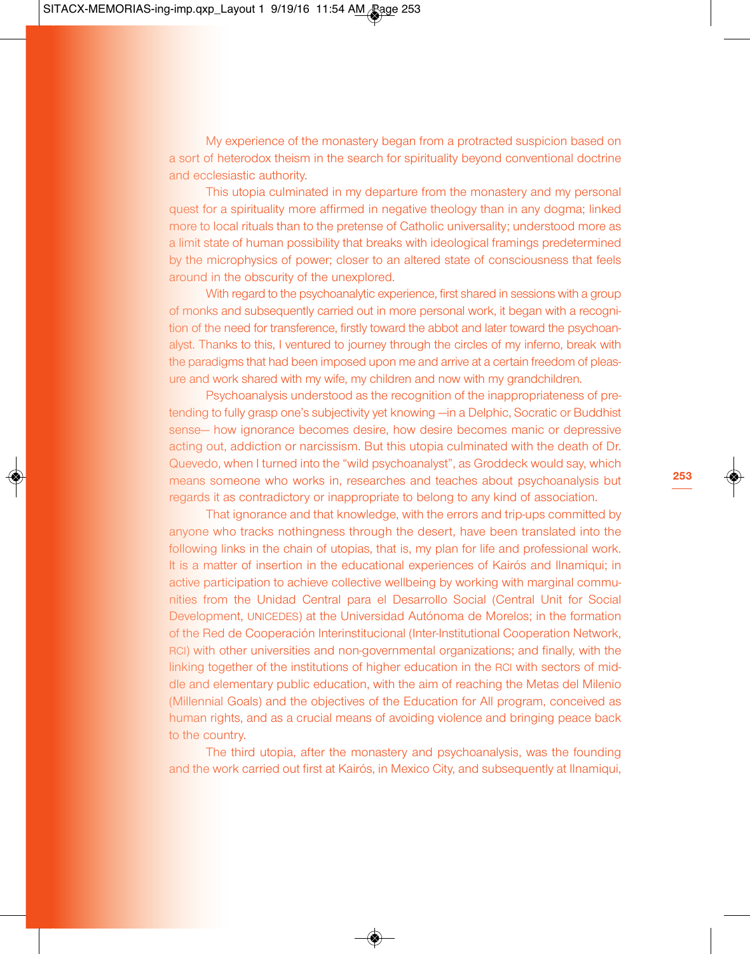My experience of the monastery began from a protracted suspicion based on a sort of heterodox theism in the search for spirituality beyond conventional doctrine and ecclesiastic authority.

This utopia culminated in my departure from the monastery and my personal quest for a spirituality more affirmed in negative theology than in any dogma; linked more to local rituals than to the pretense of Catholic universality; understood more as a limit state of human possibility that breaks with ideological framings predetermined by the microphysics of power; closer to an altered state of consciousness that feels around in the obscurity of the unexplored.

With regard to the psychoanalytic experience, first shared in sessions with a group of monks and subsequently carried out in more personal work, it began with a recognition of the need for transference, firstly toward the abbot and later toward the psychoanalyst. Thanks to this, I ventured to journey through the circles of my inferno, break with the paradigms that had been imposed upon me and arrive at a certain freedom of pleasure and work shared with my wife, my children and now with my grandchildren.

Psychoanalysis understood as the recognition of the inappropriateness of pretending to fully grasp one's subjectivity yet knowing —in a Delphic, Socratic or Buddhist sense— how ignorance becomes desire, how desire becomes manic or depressive acting out, addiction or narcissism. But this utopia culminated with the death of Dr. Quevedo, when I turned into the "wild psychoanalyst", as Groddeck would say, which means someone who works in, researches and teaches about psychoanalysis but regards it as contradictory or inappropriate to belong to any kind of association.

That ignorance and that knowledge, with the errors and trip-ups committed by anyone who tracks nothingness through the desert, have been translated into the following links in the chain of utopias, that is, my plan for life and professional work. It is a matter of insertion in the educational experiences of Kairós and Ilnamiqui; in active participation to achieve collective wellbeing by working with marginal communities from the Unidad Central para el Desarrollo Social (Central Unit for Social Development, UNICEDES) at the Universidad Autónoma de Morelos; in the formation of the Red de Cooperación Interinstitucional (Inter-Institutional Cooperation Network, RCI) with other universities and non-governmental organizations; and finally, with the linking together of the institutions of higher education in the RCI with sectors of middle and elementary public education, with the aim of reaching the Metas del Milenio (Millennial Goals) and the objectives of the Education for All program, conceived as human rights, and as a crucial means of avoiding violence and bringing peace back to the country.

The third utopia, after the monastery and psychoanalysis, was the founding and the work carried out first at Kairós, in Mexico City, and subsequently at Ilnamiqui,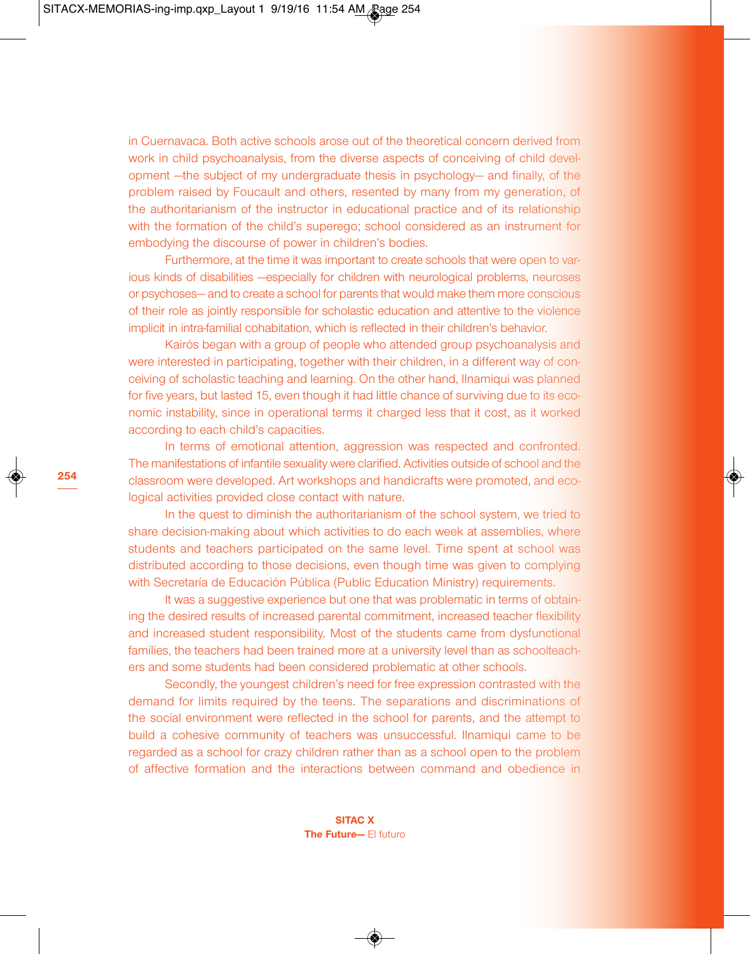**254**

in Cuernavaca. Both active schools arose out of the theoretical concern derived from work in child psychoanalysis, from the diverse aspects of conceiving of child development —the subject of my undergraduate thesis in psychology— and finally, of the problem raised by Foucault and others, resented by many from my generation, of the authoritarianism of the instructor in educational practice and of its relationship with the formation of the child's superego; school considered as an instrument for embodying the discourse of power in children's bodies.

Furthermore, at the time it was important to create schools that were open to various kinds of disabilities —especially for children with neurological problems, neuroses or psychoses— and to create a school for parents that would make them more conscious of their role as jointly responsible for scholastic education and attentive to the violence implicit in intra-familial cohabitation, which is reflected in their children's behavior.

Kairós began with a group of people who attended group psychoanalysis and were interested in participating, together with their children, in a different way of conceiving of scholastic teaching and learning. On the other hand, Ilnamiqui was planned for five years, but lasted 15, even though it had little chance of surviving due to its economic instability, since in operational terms it charged less that it cost, as it worked according to each child's capacities.

In terms of emotional attention, aggression was respected and confronted. The manifestations of infantile sexuality were clarified. Activities outside of school and the classroom were developed. Art workshops and handicrafts were promoted, and ecological activities provided close contact with nature.

In the quest to diminish the authoritarianism of the school system, we tried to share decision-making about which activities to do each week at assemblies, where students and teachers participated on the same level. Time spent at school was distributed according to those decisions, even though time was given to complying with Secretaría de Educación Pública (Public Education Ministry) requirements.

It was a suggestive experience but one that was problematic in terms of obtaining the desired results of increased parental commitment, increased teacher flexibility and increased student responsibility. Most of the students came from dysfunctional families, the teachers had been trained more at a university level than as schoolteachers and some students had been considered problematic at other schools.

Secondly, the youngest children's need for free expression contrasted with the demand for limits required by the teens. The separations and discriminations of the social environment were reflected in the school for parents, and the attempt to build a cohesive community of teachers was unsuccessful. Ilnamiqui came to be regarded as a school for crazy children rather than as a school open to the problem of affective formation and the interactions between command and obedience in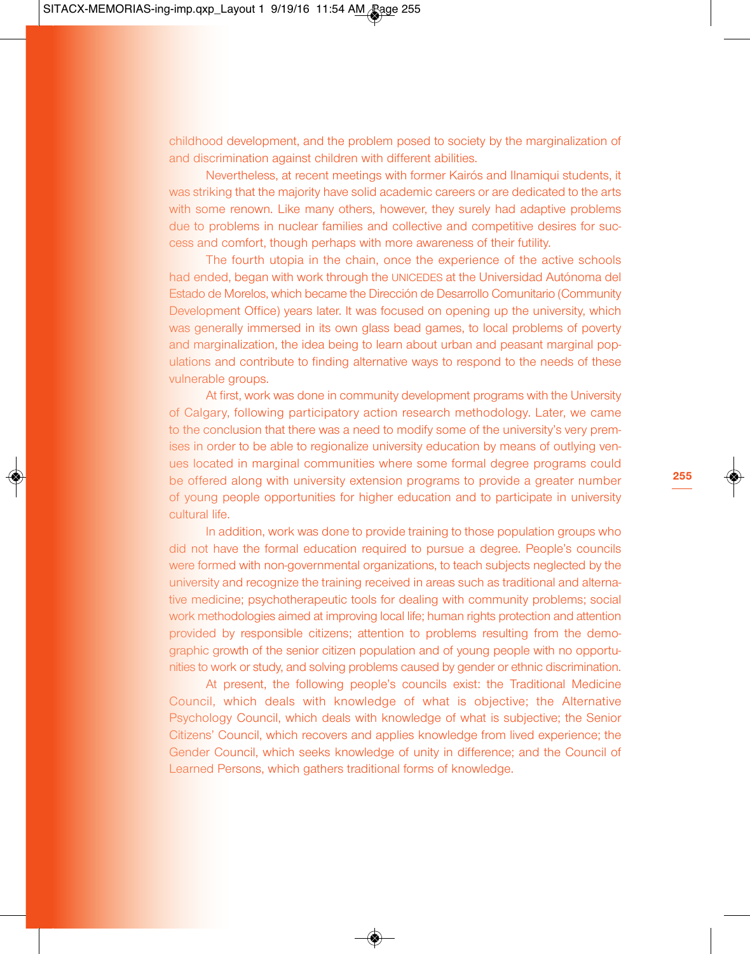childhood development, and the problem posed to society by the marginalization of and discrimination against children with different abilities.

Nevertheless, at recent meetings with former Kairós and Ilnamiqui students, it was striking that the majority have solid academic careers or are dedicated to the arts with some renown. Like many others, however, they surely had adaptive problems due to problems in nuclear families and collective and competitive desires for success and comfort, though perhaps with more awareness of their futility.

The fourth utopia in the chain, once the experience of the active schools had ended, began with work through the UNICEDES at the Universidad Autónoma del Estado de Morelos, which became the Dirección de Desarrollo Comunitario (Community Development Office) years later. It was focused on opening up the university, which was generally immersed in its own glass bead games, to local problems of poverty and marginalization, the idea being to learn about urban and peasant marginal populations and contribute to finding alternative ways to respond to the needs of these vulnerable groups.

At first, work was done in community development programs with the University of Calgary, following participatory action research methodology. Later, we came to the conclusion that there was a need to modify some of the university's very premises in order to be able to regionalize university education by means of outlying venues located in marginal communities where some formal degree programs could be offered along with university extension programs to provide a greater number of young people opportunities for higher education and to participate in university cultural life.

In addition, work was done to provide training to those population groups who did not have the formal education required to pursue a degree. People's councils were formed with non-governmental organizations, to teach subjects neglected by the university and recognize the training received in areas such as traditional and alternative medicine; psychotherapeutic tools for dealing with community problems; social work methodologies aimed at improving local life; human rights protection and attention provided by responsible citizens; attention to problems resulting from the demographic growth of the senior citizen population and of young people with no opportunities to work or study, and solving problems caused by gender or ethnic discrimination.

At present, the following people's councils exist: the Traditional Medicine Council, which deals with knowledge of what is objective; the Alternative Psychology Council, which deals with knowledge of what is subjective; the Senior Citizens' Council, which recovers and applies knowledge from lived experience; the Gender Council, which seeks knowledge of unity in difference; and the Council of Learned Persons, which gathers traditional forms of knowledge.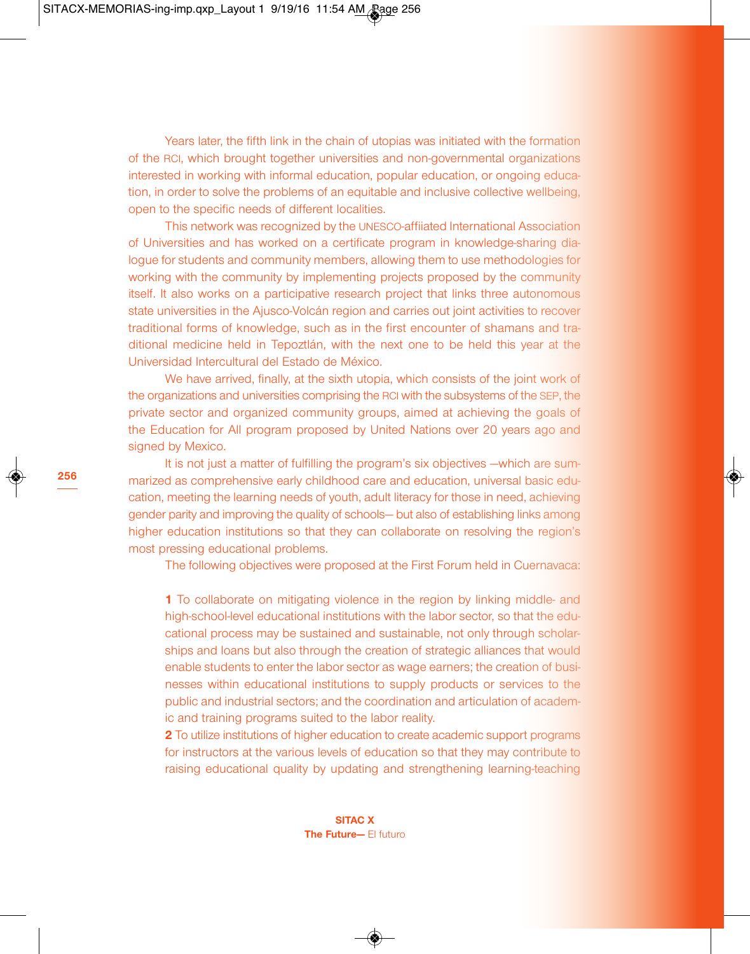Years later, the fifth link in the chain of utopias was initiated with the formation of the RCI, which brought together universities and non-governmental organizations interested in working with informal education, popular education, or ongoing education, in order to solve the problems of an equitable and inclusive collective wellbeing, open to the specific needs of different localities.

This network was recognized by the UNESCO-affiiated International Association of Universities and has worked on a certificate program in knowledge-sharing dialogue for students and community members, allowing them to use methodologies for working with the community by implementing projects proposed by the community itself. It also works on a participative research project that links three autonomous state universities in the Ajusco-Volcán region and carries out joint activities to recover traditional forms of knowledge, such as in the first encounter of shamans and traditional medicine held in Tepoztlán, with the next one to be held this year at the Universidad Intercultural del Estado de México.

We have arrived, finally, at the sixth utopia, which consists of the joint work of the organizations and universities comprising the RCI with the subsystems of the SEP, the private sector and organized community groups, aimed at achieving the goals of the Education for All program proposed by United Nations over 20 years ago and signed by Mexico.

It is not just a matter of fulfilling the program's six objectives —which are summarized as comprehensive early childhood care and education, universal basic education, meeting the learning needs of youth, adult literacy for those in need, achieving gender parity and improving the quality of schools— but also of establishing links among higher education institutions so that they can collaborate on resolving the region's most pressing educational problems.

The following objectives were proposed at the First Forum held in Cuernavaca:

**1** To collaborate on mitigating violence in the region by linking middle- and high-school-level educational institutions with the labor sector, so that the educational process may be sustained and sustainable, not only through scholarships and loans but also through the creation of strategic alliances that would enable students to enter the labor sector as wage earners; the creation of businesses within educational institutions to supply products or services to the public and industrial sectors; and the coordination and articulation of academic and training programs suited to the labor reality.

**2** To utilize institutions of higher education to create academic support programs for instructors at the various levels of education so that they may contribute to raising educational quality by updating and strengthening learning-teaching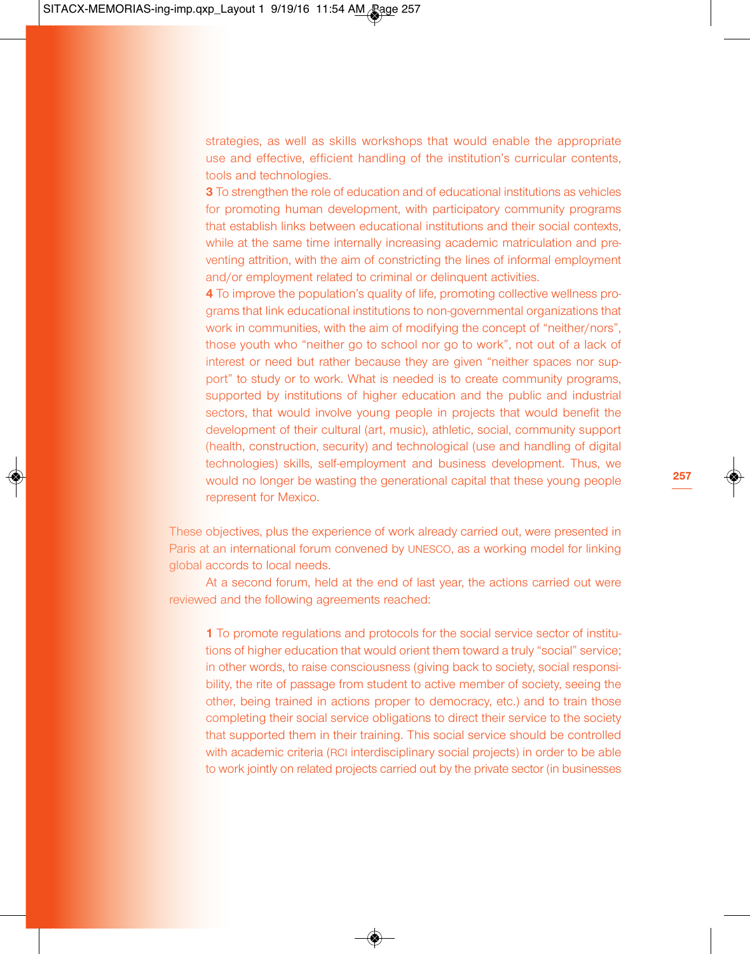strategies, as well as skills workshops that would enable the appropriate use and effective, efficient handling of the institution's curricular contents, tools and technologies.

**3** To strengthen the role of education and of educational institutions as vehicles for promoting human development, with participatory community programs that establish links between educational institutions and their social contexts, while at the same time internally increasing academic matriculation and preventing attrition, with the aim of constricting the lines of informal employment and/or employment related to criminal or delinquent activities.

**4** To improve the population's quality of life, promoting collective wellness programs that link educational institutions to non-governmental organizations that work in communities, with the aim of modifying the concept of "neither/nors", those youth who "neither go to school nor go to work", not out of a lack of interest or need but rather because they are given "neither spaces nor support" to study or to work. What is needed is to create community programs, supported by institutions of higher education and the public and industrial sectors, that would involve young people in projects that would benefit the development of their cultural (art, music), athletic, social, community support (health, construction, security) and technological (use and handling of digital technologies) skills, self-employment and business development. Thus, we would no longer be wasting the generational capital that these young people represent for Mexico.

These objectives, plus the experience of work already carried out, were presented in Paris at an international forum convened by UNESCO, as a working model for linking global accords to local needs.

At a second forum, held at the end of last year, the actions carried out were reviewed and the following agreements reached:

**1** To promote regulations and protocols for the social service sector of institutions of higher education that would orient them toward a truly "social" service; in other words, to raise consciousness (giving back to society, social responsibility, the rite of passage from student to active member of society, seeing the other, being trained in actions proper to democracy, etc.) and to train those completing their social service obligations to direct their service to the society that supported them in their training. This social service should be controlled with academic criteria (RCI interdisciplinary social projects) in order to be able to work jointly on related projects carried out by the private sector (in businesses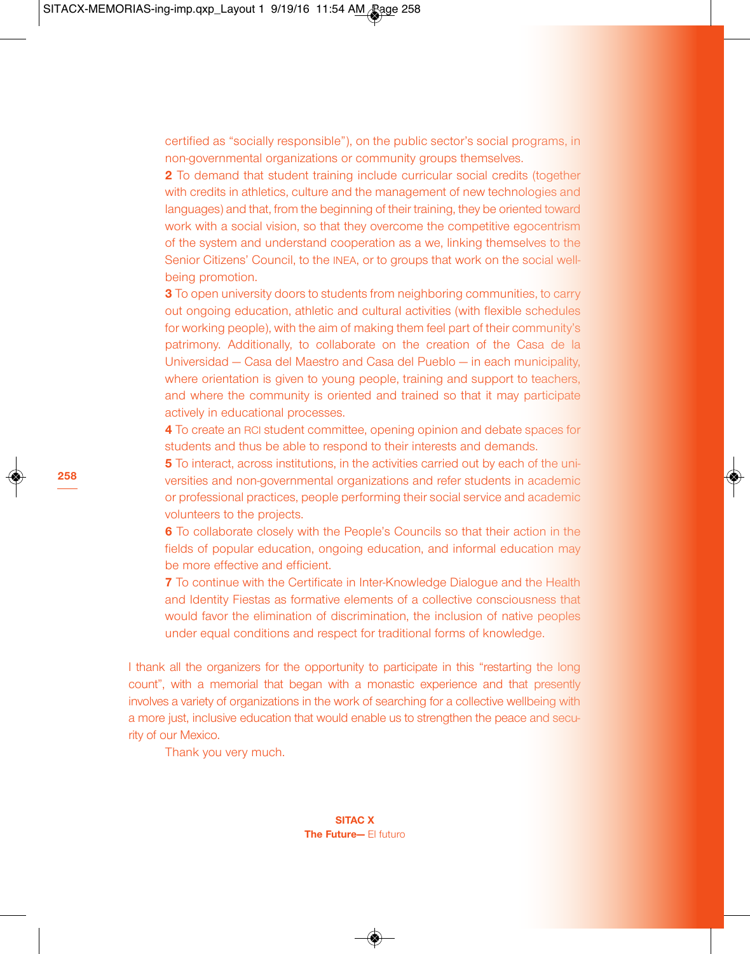certified as "socially responsible"), on the public sector's social programs, in non-governmental organizations or community groups themselves.

**2** To demand that student training include curricular social credits (together with credits in athletics, culture and the management of new technologies and languages) and that, from the beginning of their training, they be oriented toward work with a social vision, so that they overcome the competitive egocentrism of the system and understand cooperation as a we, linking themselves to the Senior Citizens' Council, to the INEA, or to groups that work on the social wellbeing promotion.

**3** To open university doors to students from neighboring communities, to carry out ongoing education, athletic and cultural activities (with flexible schedules for working people), with the aim of making them feel part of their community's patrimony. Additionally, to collaborate on the creation of the Casa de la Universidad — Casa del Maestro and Casa del Pueblo — in each municipality, where orientation is given to young people, training and support to teachers, and where the community is oriented and trained so that it may participate actively in educational processes.

**4** To create an RCI student committee, opening opinion and debate spaces for students and thus be able to respond to their interests and demands.

**5** To interact, across institutions, in the activities carried out by each of the universities and non-governmental organizations and refer students in academic or professional practices, people performing their social service and academic volunteers to the projects.

**6** To collaborate closely with the People's Councils so that their action in the fields of popular education, ongoing education, and informal education may be more effective and efficient.

**7** To continue with the Certificate in Inter-Knowledge Dialogue and the Health and Identity Fiestas as formative elements of a collective consciousness that would favor the elimination of discrimination, the inclusion of native peoples under equal conditions and respect for traditional forms of knowledge.

I thank all the organizers for the opportunity to participate in this "restarting the long count", with a memorial that began with a monastic experience and that presently involves a variety of organizations in the work of searching for a collective wellbeing with a more just, inclusive education that would enable us to strengthen the peace and security of our Mexico.

Thank you very much.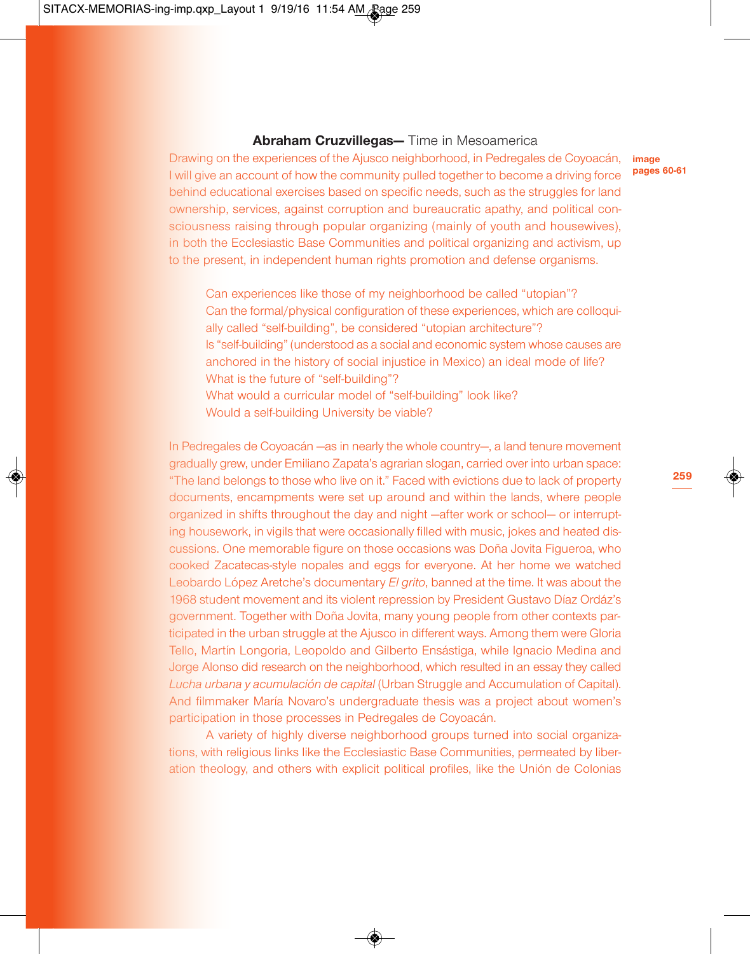#### **Abraham Cruzvillegas—** Time in Mesoamerica

Drawing on the experiences of the Ajusco neighborhood, in Pedregales de Coyoacán, I will give an account of how the community pulled together to become a driving force behind educational exercises based on specific needs, such as the struggles for land ownership, services, against corruption and bureaucratic apathy, and political consciousness raising through popular organizing (mainly of youth and housewives), in both the Ecclesiastic Base Communities and political organizing and activism, up to the present, in independent human rights promotion and defense organisms.

**image pages 60-61**

Can experiences like those of my neighborhood be called "utopian"? Can the formal/physical configuration of these experiences, which are colloquially called "self-building", be considered "utopian architecture"? Is "self-building" (understood as a social and economic system whose causes are anchored in the history of social injustice in Mexico) an ideal mode of life? What is the future of "self-building"? What would a curricular model of "self-building" look like?

Would a self-building University be viable?

In Pedregales de Coyoacán —as in nearly the whole country—, a land tenure movement gradually grew, under Emiliano Zapata's agrarian slogan, carried over into urban space: "The land belongs to those who live on it." Faced with evictions due to lack of property documents, encampments were set up around and within the lands, where people organized in shifts throughout the day and night —after work or school— or interrupting housework, in vigils that were occasionally filled with music, jokes and heated discussions. One memorable figure on those occasions was Doña Jovita Figueroa, who cooked Zacatecas-style nopales and eggs for everyone. At her home we watched Leobardo López Aretche's documentary *El grito*, banned at the time. It was about the 1968 student movement and its violent repression by President Gustavo Díaz Ordáz's government. Together with Doña Jovita, many young people from other contexts participated in the urban struggle at the Ajusco in different ways. Among them were Gloria Tello, Martín Longoria, Leopoldo and Gilberto Ensástiga, while Ignacio Medina and Jorge Alonso did research on the neighborhood, which resulted in an essay they called *Lucha urbana y acumulación de capital* (Urban Struggle and Accumulation of Capital). And filmmaker María Novaro's undergraduate thesis was a project about women's participation in those processes in Pedregales de Coyoacán.

A variety of highly diverse neighborhood groups turned into social organizations, with religious links like the Ecclesiastic Base Communities, permeated by liberation theology, and others with explicit political profiles, like the Unión de Colonias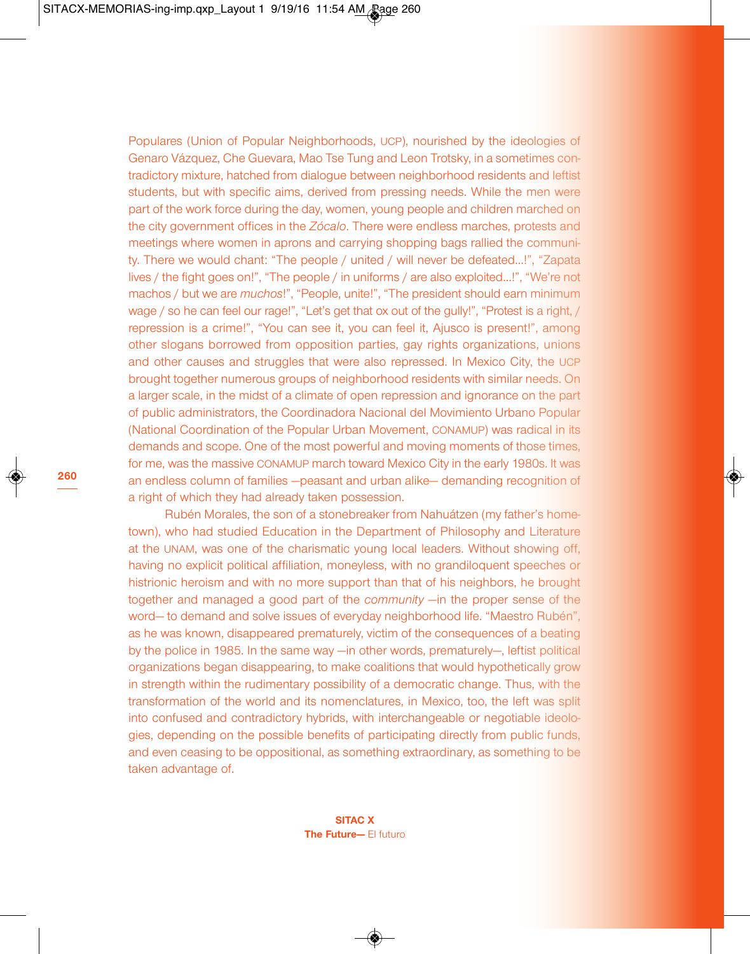Populares (Union of Popular Neighborhoods, UCP), nourished by the ideologies of Genaro Vázquez, Che Guevara, Mao Tse Tung and Leon Trotsky, in a sometimes contradictory mixture, hatched from dialogue between neighborhood residents and leftist students, but with specific aims, derived from pressing needs. While the men were part of the work force during the day, women, young people and children marched on the city government offices in the *Zócalo*. There were endless marches, protests and meetings where women in aprons and carrying shopping bags rallied the community. There we would chant: "The people / united / will never be defeated…!", "Zapata lives / the fight goes on!", "The people / in uniforms / are also exploited…!", "We're not machos / but we are *muchos*!", "People, unite!", "The president should earn minimum wage / so he can feel our rage!", "Let's get that ox out of the gully!", "Protest is a right, / repression is a crime!", "You can see it, you can feel it, Ajusco is present!", among other slogans borrowed from opposition parties, gay rights organizations, unions and other causes and struggles that were also repressed. In Mexico City, the UCP brought together numerous groups of neighborhood residents with similar needs. On a larger scale, in the midst of a climate of open repression and ignorance on the part of public administrators, the Coordinadora Nacional del Movimiento Urbano Popular (National Coordination of the Popular Urban Movement, CONAMUP) was radical in its demands and scope. One of the most powerful and moving moments of those times, for me, was the massive CONAMUP march toward Mexico City in the early 1980s. It was an endless column of families —peasant and urban alike— demanding recognition of a right of which they had already taken possession.

Rubén Morales, the son of a stonebreaker from Nahuátzen (my father's hometown), who had studied Education in the Department of Philosophy and Literature at the UNAM, was one of the charismatic young local leaders. Without showing off, having no explicit political affiliation, moneyless, with no grandiloquent speeches or histrionic heroism and with no more support than that of his neighbors, he brought together and managed a good part of the *community* —in the proper sense of the word— to demand and solve issues of everyday neighborhood life. "Maestro Rubén", as he was known, disappeared prematurely, victim of the consequences of a beating by the police in 1985. In the same way —in other words, prematurely—, leftist political organizations began disappearing, to make coalitions that would hypothetically grow in strength within the rudimentary possibility of a democratic change. Thus, with the transformation of the world and its nomenclatures, in Mexico, too, the left was split into confused and contradictory hybrids, with interchangeable or negotiable ideologies, depending on the possible benefits of participating directly from public funds, and even ceasing to be oppositional, as something extraordinary, as something to be taken advantage of.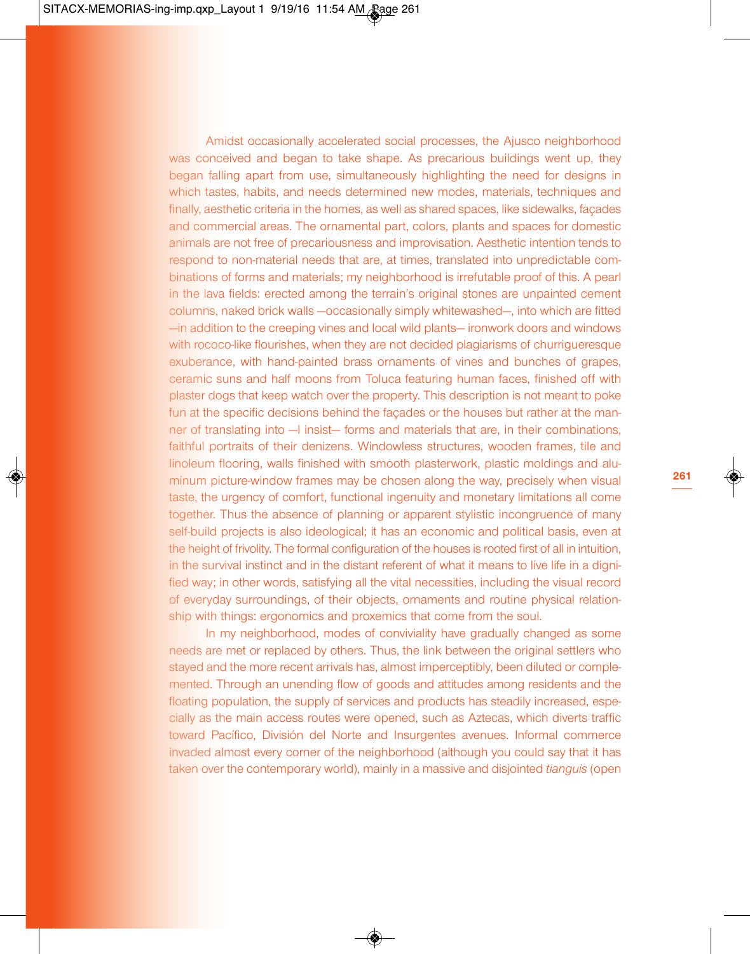Amidst occasionally accelerated social processes, the Ajusco neighborhood was conceived and began to take shape. As precarious buildings went up, they began falling apart from use, simultaneously highlighting the need for designs in which tastes, habits, and needs determined new modes, materials, techniques and finally, aesthetic criteria in the homes, as well as shared spaces, like sidewalks, façades and commercial areas. The ornamental part, colors, plants and spaces for domestic animals are not free of precariousness and improvisation. Aesthetic intention tends to respond to non-material needs that are, at times, translated into unpredictable combinations of forms and materials; my neighborhood is irrefutable proof of this. A pearl in the lava fields: erected among the terrain's original stones are unpainted cement columns, naked brick walls —occasionally simply whitewashed—, into which are fitted —in addition to the creeping vines and local wild plants— ironwork doors and windows with rococo-like flourishes, when they are not decided plagiarisms of churrigueresque exuberance, with hand-painted brass ornaments of vines and bunches of grapes, ceramic suns and half moons from Toluca featuring human faces, finished off with plaster dogs that keep watch over the property. This description is not meant to poke fun at the specific decisions behind the façades or the houses but rather at the manner of translating into - I insist- forms and materials that are, in their combinations, faithful portraits of their denizens. Windowless structures, wooden frames, tile and linoleum flooring, walls finished with smooth plasterwork, plastic moldings and aluminum picture-window frames may be chosen along the way, precisely when visual taste, the urgency of comfort, functional ingenuity and monetary limitations all come together. Thus the absence of planning or apparent stylistic incongruence of many self-build projects is also ideological; it has an economic and political basis, even at the height of frivolity. The formal configuration of the houses is rooted first of all in intuition, in the survival instinct and in the distant referent of what it means to live life in a dignified way; in other words, satisfying all the vital necessities, including the visual record of everyday surroundings, of their objects, ornaments and routine physical relationship with things: ergonomics and proxemics that come from the soul.

In my neighborhood, modes of conviviality have gradually changed as some needs are met or replaced by others. Thus, the link between the original settlers who stayed and the more recent arrivals has, almost imperceptibly, been diluted or complemented. Through an unending flow of goods and attitudes among residents and the floating population, the supply of services and products has steadily increased, especially as the main access routes were opened, such as Aztecas, which diverts traffic toward Pacífico, División del Norte and Insurgentes avenues. Informal commerce invaded almost every corner of the neighborhood (although you could say that it has taken over the contemporary world), mainly in a massive and disjointed *tianguis* (open